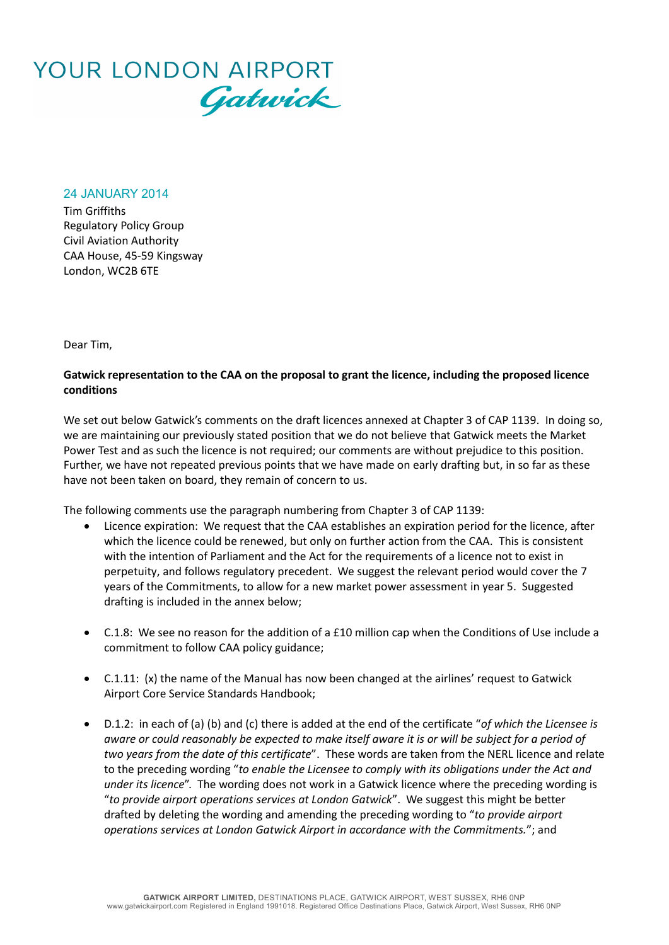

24 JANUARY 2014

Tim Griffiths Regulatory Policy Group Civil Aviation Authority CAA House, 45-59 Kingsway London, WC2B 6TE

Dear Tim,

## **Gatwick representation to the CAA on the proposal to grant the licence, including the proposed licence conditions**

We set out below Gatwick's comments on the draft licences annexed at Chapter 3 of CAP 1139. In doing so, we are maintaining our previously stated position that we do not believe that Gatwick meets the Market Power Test and as such the licence is not required; our comments are without prejudice to this position. Further, we have not repeated previous points that we have made on early drafting but, in so far as these have not been taken on board, they remain of concern to us.

The following comments use the paragraph numbering from Chapter 3 of CAP 1139:

- Licence expiration: We request that the CAA establishes an expiration period for the licence, after which the licence could be renewed, but only on further action from the CAA. This is consistent with the intention of Parliament and the Act for the requirements of a licence not to exist in perpetuity, and follows regulatory precedent. We suggest the relevant period would cover the 7 years of the Commitments, to allow for a new market power assessment in year 5. Suggested drafting is included in the annex below;
- C.1.8: We see no reason for the addition of a £10 million cap when the Conditions of Use include a commitment to follow CAA policy guidance;
- C.1.11: (x) the name of the Manual has now been changed at the airlines' request to Gatwick Airport Core Service Standards Handbook;
- D.1.2: in each of (a) (b) and (c) there is added at the end of the certificate "*of which the Licensee is aware or could reasonably be expected to make itself aware it is or will be subject for a period of two years from the date of this certificate*". These words are taken from the NERL licence and relate to the preceding wording "*to enable the Licensee to comply with its obligations under the Act and under its licence*". The wording does not work in a Gatwick licence where the preceding wording is "*to provide airport operations services at London Gatwick*". We suggest this might be better drafted by deleting the wording and amending the preceding wording to "*to provide airport operations services at London Gatwick Airport in accordance with the Commitments.*"; and